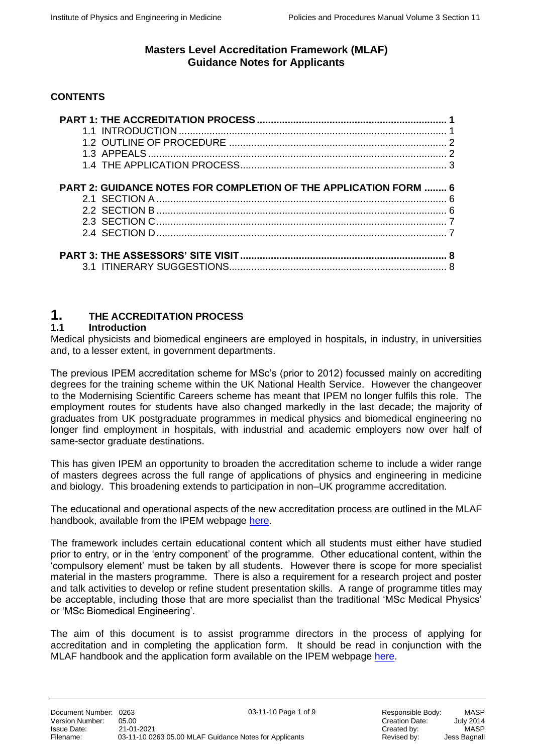# **CONTENTS**

| <b>PART 2: GUIDANCE NOTES FOR COMPLETION OF THE APPLICATION FORM  6</b> |  |
|-------------------------------------------------------------------------|--|
|                                                                         |  |
|                                                                         |  |
|                                                                         |  |
|                                                                         |  |
|                                                                         |  |
|                                                                         |  |
|                                                                         |  |
|                                                                         |  |

# **1. THE ACCREDITATION PROCESS**

## **1.1 Introduction**

Medical physicists and biomedical engineers are employed in hospitals, in industry, in universities and, to a lesser extent, in government departments.

The previous IPEM accreditation scheme for MSc's (prior to 2012) focussed mainly on accrediting degrees for the training scheme within the UK National Health Service. However the changeover to the Modernising Scientific Careers scheme has meant that IPEM no longer fulfils this role. The employment routes for students have also changed markedly in the last decade; the majority of graduates from UK postgraduate programmes in medical physics and biomedical engineering no longer find employment in hospitals, with industrial and academic employers now over half of same-sector graduate destinations.

This has given IPEM an opportunity to broaden the accreditation scheme to include a wider range of masters degrees across the full range of applications of physics and engineering in medicine and biology. This broadening extends to participation in non–UK programme accreditation.

The educational and operational aspects of the new accreditation process are outlined in the MLAF handbook, available from the IPEM webpage [here.](https://www.ipem.ac.uk/ResearchAcademicAccreditation/AccreditationofAcademicCourses/IPEMsMastersLevelAccreditationFramework.aspx)

The framework includes certain educational content which all students must either have studied prior to entry, or in the 'entry component' of the programme. Other educational content, within the 'compulsory element' must be taken by all students. However there is scope for more specialist material in the masters programme. There is also a requirement for a research project and poster and talk activities to develop or refine student presentation skills. A range of programme titles may be acceptable, including those that are more specialist than the traditional 'MSc Medical Physics' or 'MSc Biomedical Engineering'.

The aim of this document is to assist programme directors in the process of applying for accreditation and in completing the application form. It should be read in conjunction with the MLAF handbook and the application form available on the IPEM webpage [here.](https://www.ipem.ac.uk/ResearchAcademicAccreditation/AccreditationofAcademicCourses/IPEMsMastersLevelAccreditationFramework.aspx)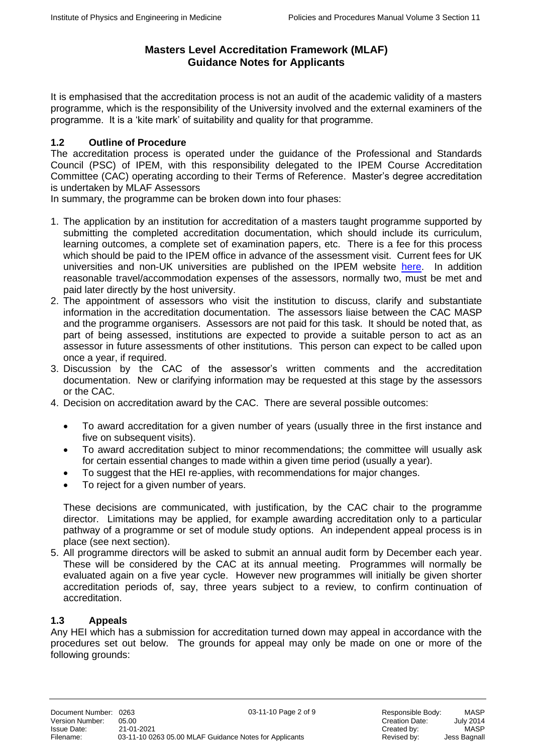It is emphasised that the accreditation process is not an audit of the academic validity of a masters programme, which is the responsibility of the University involved and the external examiners of the programme. It is a 'kite mark' of suitability and quality for that programme.

# **1.2 Outline of Procedure**

The accreditation process is operated under the guidance of the Professional and Standards Council (PSC) of IPEM, with this responsibility delegated to the IPEM Course Accreditation Committee (CAC) operating according to their Terms of Reference. Master's degree accreditation is undertaken by MLAF Assessors

In summary, the programme can be broken down into four phases:

- 1. The application by an institution for accreditation of a masters taught programme supported by submitting the completed accreditation documentation, which should include its curriculum, learning outcomes, a complete set of examination papers, etc. There is a fee for this process which should be paid to the IPEM office in advance of the assessment visit. Current fees for UK universities and non-UK universities are published on the IPEM website [here.](https://www.ipem.ac.uk/ResearchAcademicAccreditation/AccreditationofAcademicCourses/IPEMsMastersLevelAccreditationFramework.aspx) In addition reasonable travel/accommodation expenses of the assessors, normally two, must be met and paid later directly by the host university.
- 2. The appointment of assessors who visit the institution to discuss, clarify and substantiate information in the accreditation documentation. The assessors liaise between the CAC MASP and the programme organisers. Assessors are not paid for this task. It should be noted that, as part of being assessed, institutions are expected to provide a suitable person to act as an assessor in future assessments of other institutions. This person can expect to be called upon once a year, if required.
- 3. Discussion by the CAC of the assessor's written comments and the accreditation documentation. New or clarifying information may be requested at this stage by the assessors or the CAC.
- 4. Decision on accreditation award by the CAC. There are several possible outcomes:
	- To award accreditation for a given number of years (usually three in the first instance and five on subsequent visits).
	- To award accreditation subject to minor recommendations; the committee will usually ask for certain essential changes to made within a given time period (usually a year).
	- To suggest that the HEI re-applies, with recommendations for major changes.
	- To reject for a given number of years.

These decisions are communicated, with justification, by the CAC chair to the programme director. Limitations may be applied, for example awarding accreditation only to a particular pathway of a programme or set of module study options. An independent appeal process is in place (see next section).

5. All programme directors will be asked to submit an annual audit form by December each year. These will be considered by the CAC at its annual meeting. Programmes will normally be evaluated again on a five year cycle. However new programmes will initially be given shorter accreditation periods of, say, three years subject to a review, to confirm continuation of accreditation.

#### **1.3 Appeals**

Any HEI which has a submission for accreditation turned down may appeal in accordance with the procedures set out below. The grounds for appeal may only be made on one or more of the following grounds: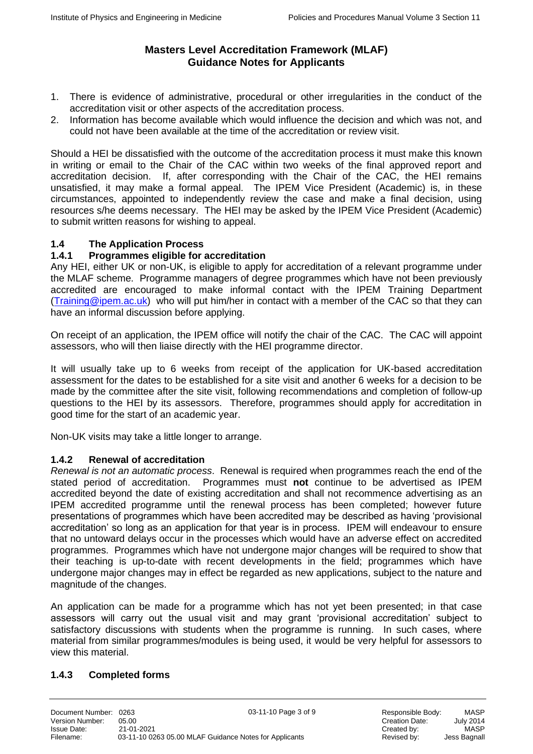- 1. There is evidence of administrative, procedural or other irregularities in the conduct of the accreditation visit or other aspects of the accreditation process.
- 2. Information has become available which would influence the decision and which was not, and could not have been available at the time of the accreditation or review visit.

Should a HEI be dissatisfied with the outcome of the accreditation process it must make this known in writing or email to the Chair of the CAC within two weeks of the final approved report and accreditation decision. If, after corresponding with the Chair of the CAC, the HEI remains unsatisfied, it may make a formal appeal. The IPEM Vice President (Academic) is, in these circumstances, appointed to independently review the case and make a final decision, using resources s/he deems necessary. The HEI may be asked by the IPEM Vice President (Academic) to submit written reasons for wishing to appeal.

# **1.4 The Application Process**

## **1.4.1 Programmes eligible for accreditation**

Any HEI, either UK or non-UK, is eligible to apply for accreditation of a relevant programme under the MLAF scheme. Programme managers of degree programmes which have not been previously accredited are encouraged to make informal contact with the IPEM Training Department [\(Training@ipem.ac.uk\)](mailto:Training@ipem.ac.uk) who will put him/her in contact with a member of the CAC so that they can have an informal discussion before applying.

On receipt of an application, the IPEM office will notify the chair of the CAC. The CAC will appoint assessors, who will then liaise directly with the HEI programme director.

It will usually take up to 6 weeks from receipt of the application for UK-based accreditation assessment for the dates to be established for a site visit and another 6 weeks for a decision to be made by the committee after the site visit, following recommendations and completion of follow-up questions to the HEI by its assessors. Therefore, programmes should apply for accreditation in good time for the start of an academic year.

Non-UK visits may take a little longer to arrange.

#### **1.4.2 Renewal of accreditation**

*Renewal is not an automatic process*. Renewal is required when programmes reach the end of the stated period of accreditation. Programmes must **not** continue to be advertised as IPEM accredited beyond the date of existing accreditation and shall not recommence advertising as an IPEM accredited programme until the renewal process has been completed; however future presentations of programmes which have been accredited may be described as having 'provisional accreditation' so long as an application for that year is in process. IPEM will endeavour to ensure that no untoward delays occur in the processes which would have an adverse effect on accredited programmes. Programmes which have not undergone major changes will be required to show that their teaching is up-to-date with recent developments in the field; programmes which have undergone major changes may in effect be regarded as new applications, subject to the nature and magnitude of the changes.

An application can be made for a programme which has not yet been presented; in that case assessors will carry out the usual visit and may grant 'provisional accreditation' subject to satisfactory discussions with students when the programme is running. In such cases, where material from similar programmes/modules is being used, it would be very helpful for assessors to view this material.

# **1.4.3 Completed forms**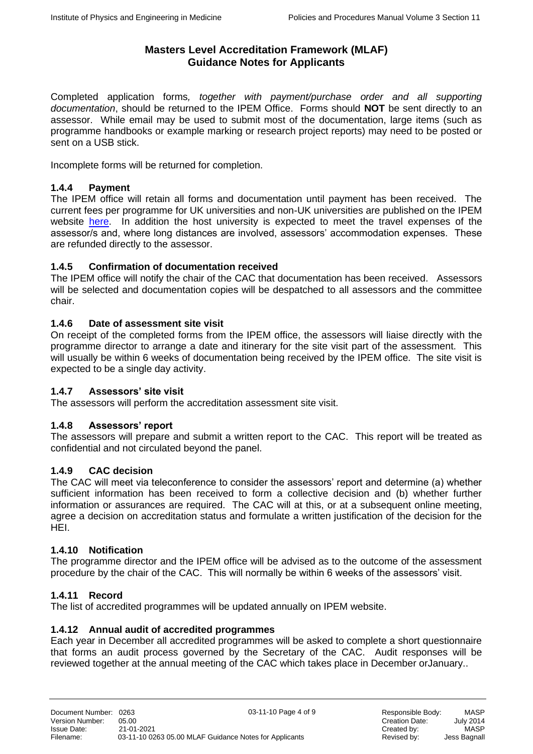Completed application forms*, together with payment/purchase order and all supporting documentation*, should be returned to the IPEM Office. Forms should **NOT** be sent directly to an assessor. While email may be used to submit most of the documentation, large items (such as programme handbooks or example marking or research project reports) may need to be posted or sent on a USB stick.

Incomplete forms will be returned for completion.

# **1.4.4 Payment**

The IPEM office will retain all forms and documentation until payment has been received. The current fees per programme for UK universities and non-UK universities are published on the IPEM website [here.](https://www.ipem.ac.uk/ResearchAcademicAccreditation/AccreditationofAcademicCourses/IPEMsMastersLevelAccreditationFramework.aspx) In addition the host university is expected to meet the travel expenses of the assessor/s and, where long distances are involved, assessors' accommodation expenses. These are refunded directly to the assessor.

## **1.4.5 Confirmation of documentation received**

The IPEM office will notify the chair of the CAC that documentation has been received. Assessors will be selected and documentation copies will be despatched to all assessors and the committee chair.

## **1.4.6 Date of assessment site visit**

On receipt of the completed forms from the IPEM office, the assessors will liaise directly with the programme director to arrange a date and itinerary for the site visit part of the assessment. This will usually be within 6 weeks of documentation being received by the IPEM office. The site visit is expected to be a single day activity.

#### **1.4.7 Assessors' site visit**

The assessors will perform the accreditation assessment site visit.

# **1.4.8 Assessors' report**

The assessors will prepare and submit a written report to the CAC. This report will be treated as confidential and not circulated beyond the panel.

#### **1.4.9 CAC decision**

The CAC will meet via teleconference to consider the assessors' report and determine (a) whether sufficient information has been received to form a collective decision and (b) whether further information or assurances are required. The CAC will at this, or at a subsequent online meeting, agree a decision on accreditation status and formulate a written justification of the decision for the HEI.

#### **1.4.10 Notification**

The programme director and the IPEM office will be advised as to the outcome of the assessment procedure by the chair of the CAC. This will normally be within 6 weeks of the assessors' visit.

#### **1.4.11 Record**

The list of accredited programmes will be updated annually on IPEM website.

#### **1.4.12 Annual audit of accredited programmes**

Each year in December all accredited programmes will be asked to complete a short questionnaire that forms an audit process governed by the Secretary of the CAC. Audit responses will be reviewed together at the annual meeting of the CAC which takes place in December orJanuary..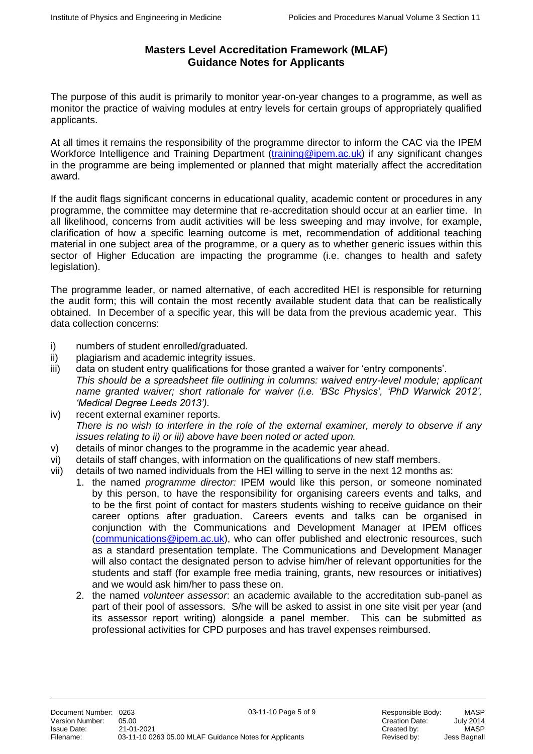The purpose of this audit is primarily to monitor year-on-year changes to a programme, as well as monitor the practice of waiving modules at entry levels for certain groups of appropriately qualified applicants.

At all times it remains the responsibility of the programme director to inform the CAC via the IPEM Workforce Intelligence and Training Department [\(training@ipem.ac.uk\)](mailto:training@ipem.ac.uk) if any significant changes in the programme are being implemented or planned that might materially affect the accreditation award.

If the audit flags significant concerns in educational quality, academic content or procedures in any programme, the committee may determine that re-accreditation should occur at an earlier time. In all likelihood, concerns from audit activities will be less sweeping and may involve, for example, clarification of how a specific learning outcome is met, recommendation of additional teaching material in one subject area of the programme, or a query as to whether generic issues within this sector of Higher Education are impacting the programme (i.e. changes to health and safety legislation).

The programme leader, or named alternative, of each accredited HEI is responsible for returning the audit form; this will contain the most recently available student data that can be realistically obtained. In December of a specific year, this will be data from the previous academic year. This data collection concerns:

- i) numbers of student enrolled/graduated.
- ii) plagiarism and academic integrity issues.
- iii) data on student entry qualifications for those granted a waiver for 'entry components'.
- *This should be a spreadsheet file outlining in columns: waived entry-level module; applicant name granted waiver; short rationale for waiver (i.e. 'BSc Physics', 'PhD Warwick 2012', 'Medical Degree Leeds 2013').*
- iv) recent external examiner reports. *There is no wish to interfere in the role of the external examiner, merely to observe if any issues relating to ii) or iii) above have been noted or acted upon.*
- v) details of minor changes to the programme in the academic year ahead.
- vi) details of staff changes, with information on the qualifications of new staff members.
- vii) details of two named individuals from the HEI willing to serve in the next 12 months as:
	- 1. the named *programme director:* IPEM would like this person, or someone nominated by this person, to have the responsibility for organising careers events and talks, and to be the first point of contact for masters students wishing to receive guidance on their career options after graduation. Careers events and talks can be organised in conjunction with the Communications and Development Manager at IPEM offices [\(communications@ipem.ac.uk\)](mailto:communications@ipem.ac.uk), who can offer published and electronic resources, such as a standard presentation template. The Communications and Development Manager will also contact the designated person to advise him/her of relevant opportunities for the students and staff (for example free media training, grants, new resources or initiatives) and we would ask him/her to pass these on.
	- 2. the named *volunteer assessor*: an academic available to the accreditation sub-panel as part of their pool of assessors. S/he will be asked to assist in one site visit per year (and its assessor report writing) alongside a panel member. This can be submitted as professional activities for CPD purposes and has travel expenses reimbursed.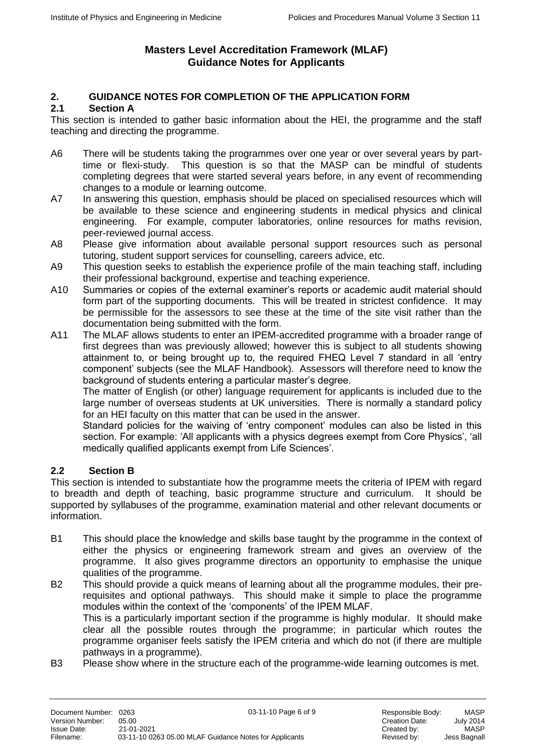# **2. GUIDANCE NOTES FOR COMPLETION OF THE APPLICATION FORM**

# **2.1 Section A**

This section is intended to gather basic information about the HEI, the programme and the staff teaching and directing the programme.

- A6 There will be students taking the programmes over one year or over several years by parttime or flexi-study. This question is so that the MASP can be mindful of students completing degrees that were started several years before, in any event of recommending changes to a module or learning outcome.
- A7 In answering this question, emphasis should be placed on specialised resources which will be available to these science and engineering students in medical physics and clinical engineering. For example, computer laboratories, online resources for maths revision, peer-reviewed journal access.
- A8 Please give information about available personal support resources such as personal tutoring, student support services for counselling, careers advice, etc.
- A9 This question seeks to establish the experience profile of the main teaching staff, including their professional background, expertise and teaching experience.
- A10 Summaries or copies of the external examiner's reports or academic audit material should form part of the supporting documents. This will be treated in strictest confidence. It may be permissible for the assessors to see these at the time of the site visit rather than the documentation being submitted with the form.
- A11 The MLAF allows students to enter an IPEM-accredited programme with a broader range of first degrees than was previously allowed; however this is subject to all students showing attainment to, or being brought up to, the required FHEQ Level 7 standard in all 'entry component' subjects (see the MLAF Handbook). Assessors will therefore need to know the background of students entering a particular master's degree.

The matter of English (or other) language requirement for applicants is included due to the large number of overseas students at UK universities. There is normally a standard policy for an HEI faculty on this matter that can be used in the answer.

Standard policies for the waiving of 'entry component' modules can also be listed in this section. For example: 'All applicants with a physics degrees exempt from Core Physics', 'all medically qualified applicants exempt from Life Sciences'.

#### **2.2 Section B**

This section is intended to substantiate how the programme meets the criteria of IPEM with regard to breadth and depth of teaching, basic programme structure and curriculum. It should be supported by syllabuses of the programme, examination material and other relevant documents or information.

- B1 This should place the knowledge and skills base taught by the programme in the context of either the physics or engineering framework stream and gives an overview of the programme. It also gives programme directors an opportunity to emphasise the unique qualities of the programme.
- B2 This should provide a quick means of learning about all the programme modules, their prerequisites and optional pathways. This should make it simple to place the programme modules within the context of the 'components' of the IPEM MLAF. This is a particularly important section if the programme is highly modular. It should make clear all the possible routes through the programme; in particular which routes the programme organiser feels satisfy the IPEM criteria and which do not (if there are multiple pathways in a programme).
- B3 Please show where in the structure each of the programme-wide learning outcomes is met.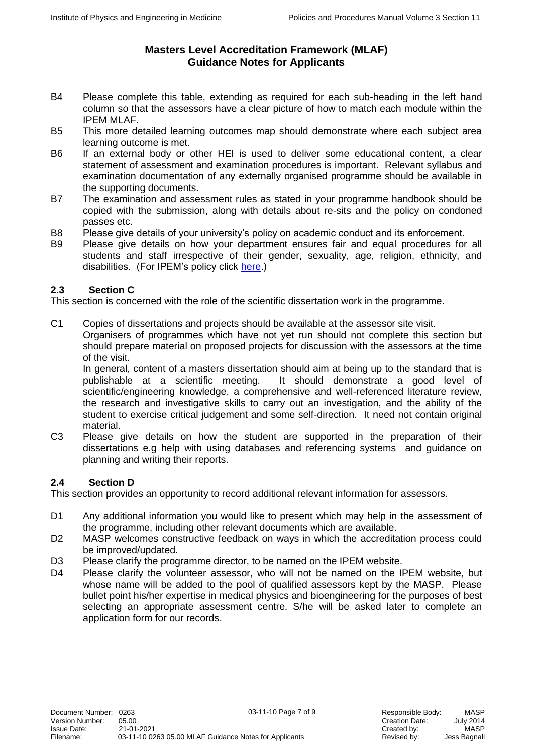- B4 Please complete this table, extending as required for each sub-heading in the left hand column so that the assessors have a clear picture of how to match each module within the IPEM MLAF.
- B5 This more detailed learning outcomes map should demonstrate where each subject area learning outcome is met.
- B6 If an external body or other HEI is used to deliver some educational content, a clear statement of assessment and examination procedures is important. Relevant syllabus and examination documentation of any externally organised programme should be available in the supporting documents.
- B7 The examination and assessment rules as stated in your programme handbook should be copied with the submission, along with details about re-sits and the policy on condoned passes etc.
- B8 Please give details of your university's policy on academic conduct and its enforcement.
- B9 Please give details on how your department ensures fair and equal procedures for all students and staff irrespective of their gender, sexuality, age, religion, ethnicity, and disabilities. (For IPEM's policy click [here.](https://www.ipem.ac.uk/Portals/0/Documents/Diversity%20&%20Equality/Equality%20Policy%20Statement%20July%202015.pdf))

# **2.3 Section C**

This section is concerned with the role of the scientific dissertation work in the programme.

C1 Copies of dissertations and projects should be available at the assessor site visit. Organisers of programmes which have not yet run should not complete this section but should prepare material on proposed projects for discussion with the assessors at the time of the visit.

In general, content of a masters dissertation should aim at being up to the standard that is publishable at a scientific meeting. It should demonstrate a good level of It should demonstrate a good level of scientific/engineering knowledge, a comprehensive and well-referenced literature review, the research and investigative skills to carry out an investigation, and the ability of the student to exercise critical judgement and some self-direction. It need not contain original material.

C3 Please give details on how the student are supported in the preparation of their dissertations e.g help with using databases and referencing systems and guidance on planning and writing their reports.

# **2.4 Section D**

This section provides an opportunity to record additional relevant information for assessors.

- D1 Any additional information you would like to present which may help in the assessment of the programme, including other relevant documents which are available.
- D2 MASP welcomes constructive feedback on ways in which the accreditation process could be improved/updated.
- D3 Please clarify the programme director, to be named on the IPEM website.
- D4 Please clarify the volunteer assessor, who will not be named on the IPEM website, but whose name will be added to the pool of qualified assessors kept by the MASP. Please bullet point his/her expertise in medical physics and bioengineering for the purposes of best selecting an appropriate assessment centre. S/he will be asked later to complete an application form for our records.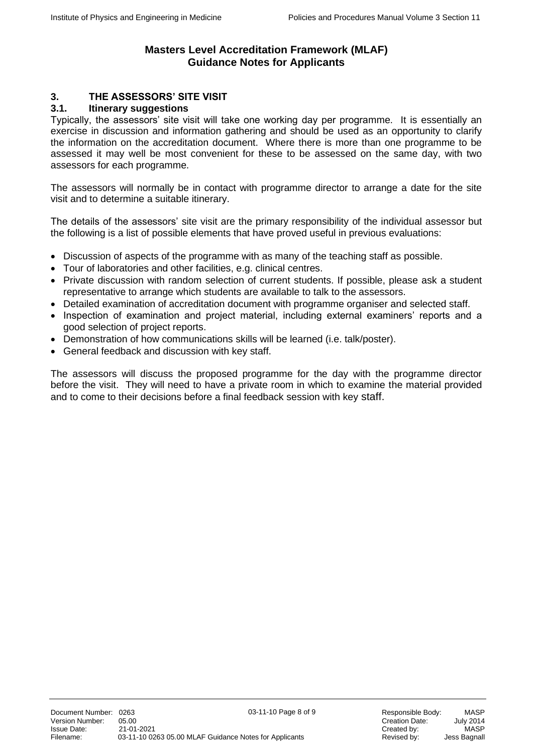# **3. THE ASSESSORS' SITE VISIT**

## **3.1. Itinerary suggestions**

Typically, the assessors' site visit will take one working day per programme. It is essentially an exercise in discussion and information gathering and should be used as an opportunity to clarify the information on the accreditation document. Where there is more than one programme to be assessed it may well be most convenient for these to be assessed on the same day, with two assessors for each programme.

The assessors will normally be in contact with programme director to arrange a date for the site visit and to determine a suitable itinerary.

The details of the assessors' site visit are the primary responsibility of the individual assessor but the following is a list of possible elements that have proved useful in previous evaluations:

- Discussion of aspects of the programme with as many of the teaching staff as possible.
- Tour of laboratories and other facilities, e.g. clinical centres.
- Private discussion with random selection of current students. If possible, please ask a student representative to arrange which students are available to talk to the assessors.
- Detailed examination of accreditation document with programme organiser and selected staff.
- Inspection of examination and project material, including external examiners' reports and a good selection of project reports.
- Demonstration of how communications skills will be learned (i.e. talk/poster).
- General feedback and discussion with key staff.

The assessors will discuss the proposed programme for the day with the programme director before the visit. They will need to have a private room in which to examine the material provided and to come to their decisions before a final feedback session with key staff.